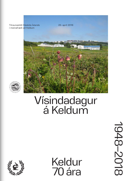Tilraunastöð Háskóla Íslands 20. apríl 2018 í meinafræði að Keldum



### Vísindadagur á Keldum

 Keldur 70 ára

1948–2018 1948-2018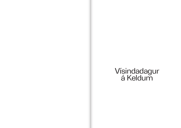# Vísindadagur<br>á Keldum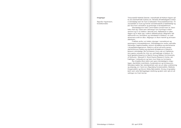#### **Inngangur**

Sigurður Ingvarsson, forstöðumaður

Tilraunastöð Háskóla Íslands í meinafræði að Keldum fagnar sjötíu ára starfsafmæli á þessu ári. Sérstök afmælisdagskrá verður á vísindadegi sem fer fram á bókasafni Tilraunastöðvarinnar. Tilraunastöðin er fyrst og fremst rannsóknastofa á háskólastigi og þar fara fram rannsóknir og greiningar á dýrasjúkdómum. Vísindadagurinn hefur verið haldinn annað hvert ár. Hann hefur fest sig í sessi sem vettvangur fyrir kynningu á starfseminni og er nú haldinn í áttunda sinn. Ráðstefnan er allan daginn og er skipt upp í nokkra ráðstefnuhluta. Meginefni ráðstefnunnar eru rannsóknir og vísindastörf á Keldum, nú með almennara sniði en áður. Aðgangur er öllum heimill og að kostn-

aðarlausu.

Fræðsla verður um helstu nýjungar í rannsóknum og greiningum á dýrasjúkdómum. Vísindadagurinn verður samráðsvettvangur hagsmunaaðila, einkum dýralækna og starfsmanna í dýrasjúkdómageiranum. Stefnt er að því að koma saman starfsmönnum Keldna og starfandi dýralæknum á Íslandi á þessum vísindadegi. Níu fyrirlesarar munu sjá um fræðsluna, einn gestur erlendis frá, hinir eru sérfræðingar á Keldum. Erlendi gestafyrirlesarinn er Martin Krarup Nielsen frá University of Kentucky - Maxwell H. Gluck Equine Research Center, sérfræðingur í sníkjudýrum og hann mun flytja tvo fyrirlestra. Ég vil þakka öllum þeim sem gera vísindadaginn mögulegan, starfsfólki á skrifstofu, fundarstjórum og fyrirlesurum. Sérstakar þakkir fær vísindanefndin sem sá um allan undirbúning og skipulag, en í henni eru Sigurbjörg Þorsteinsdóttir, Stefanía Þorgeirsdóttir og Þórunn Sóley Björnsdóttir. Einnig vil ég þakka þeim sem veita fjárhagslegan stuðning og þeim sem sjá um að veitingar eru fram bornar.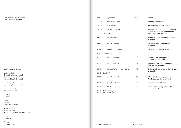| Blaðsíður: | Erindi:                                                                                            |
|------------|----------------------------------------------------------------------------------------------------|
|            | <b>Setning Vísindadags</b>                                                                         |
|            | Ávarp menntamálaráðherra                                                                           |
| 6          | Equine helminth parasites: epidem-<br>iology, diagnostics, anthelmintic<br>resistance, and disease |
| 7          | Rannsóknir á sníkjudýrum hrossa<br>á Íslandi                                                       |
| 8          | Um hunda- og kattasníkjudýr<br>á Íslandi                                                           |
| 9          | Um tríkínur (Trichinella spp.)                                                                     |
| 10         | Nokkrir alvarlegir bakteríu-<br>sjúkdómar í búfé á Íslandi                                         |
| 11         | Salmonella og Campylobacter<br>í dýrum og mönnum                                                   |
| 12         | Sýklalyfjaónæmar bakteríur í dýrum<br>á Íslandi                                                    |
| 13         | Áhrif sjúkdóma á nytjastofna<br>ferskvatns og sjávar á Íslandi                                     |
| 14         | Veirur í dýrum á Íslandi                                                                           |
| 15         | Equine parasitology research:<br>What's new?                                                       |

| Tími  | Fyrirlesari:                                   | Blað                     |
|-------|------------------------------------------------|--------------------------|
| 08:30 | Sigurður Ingvarsson                            |                          |
| 08:35 | Lilja Alfreðsdóttir                            |                          |
| 08:50 | Martin K. Nielsen                              |                          |
| 09:50 | (kaffihlé)                                     |                          |
| 10:10 | Matthías Eydal                                 |                          |
| 10:40 | Karl Skírnisson                                |                          |
| 11:10 | Guðný Rut Pálsdóttir                           |                          |
| 11:40 | (hádegishlé)                                   |                          |
| 12:15 | <b>Eggert Gunnarsson</b>                       | 1                        |
| 12:45 | Vala Friðriksdóttir                            | $\overline{\phantom{a}}$ |
| 13:15 | Þórunn Rafnar Þorsteinsdóttir                  | $\overline{\phantom{a}}$ |
|       | 13:45 (kaffihlé)                               |                          |
| 14:05 | Árni Kristmundsson                             | $\overline{1}$           |
| 14:35 | Vilhjálmur Svansson                            | 1                        |
| 15:05 | Martin K. Nielsen                              | 1                        |
| 16:00 | (léttar veitingar)<br>15:35<br>(dagskrá lokið) |                          |

Vísindadagur á Keldum

Vísindanefnd: Sigurbjörg Þorsteinsdóttir Stefanía Þorgeirsdóttir Þórunn Sóley Björnsdóttir

Forsíðumynd: Sigurbjörg Þorsteinsdóttir

Hönnun umbrots: Þorgeir K. Blöndal

Prentun: GuðjónÓ

Letur: Amma Times New Roman

Styrktaraðilar: Háskóli Íslands Starfsþróunarsetur háskólamanna

Upplag: 60 eintök

Útgáfa: 20. apríl 2018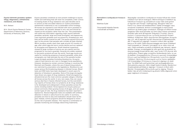#### **Rannsóknir á sníkjudýrum hrossa á Íslandi**

Matthías Eydal

Tilraunastöð Háskóla Íslands í meinafræði að Keldum

Skipulagðar rannsóknir á sníkjudýrum hrossa hófust hér á landi á Keldum fyrir fjórum áratugum. Með krufningum á folöldum og fullorðnum hrossum og rannsóknum á saur hafa verið greindar tegundir sem finnast í meltingarvegi. Athuganir hafa ennfremur m.a. beinst að árstíðasveiflum í fjölda ormaeggja í saur, ormasmiti á beitilandi, áhrifum ormalyfsgjafa á mismunandi árstímum og ónæmi gegn ormalyfjum. Sýkingar af völdum hrossanaglúsar hafa verið kannaðar og virkni lyfja á lúsina rannsökuð. Greindar hafa verið 36 tegundir sníkjudýra. Frumdýr: *Eimeria leuckarti, Cryptosporidium parvum, og Giardia duodenalis* finnast í folöldum. Þráðormar: Stórir dreyraormar (Strongylinae: *Strongylus* spp. o.fl., alls 8 tegundir) og litlir dreyraormar (Cyathostominae, alls 17 tegundir) eru algengir í hrossum á öllum aldri og fjöldi þeirra er oft mikill. Fjöldi dreyraormaeggja sem berst á beitiland með hrossaskít er í hámarki í júní-ágúst, en er miklu minni að vetri. Fjöldi smithæfra ormalirfa á beitilandi nær hámarki í ágúst– október. Árangur ormalyfsgjafa fer eftir gerð lyfs og árstíma, en dreyraormaegg finnast jafnan ekki í saur fyrstu 5-12 vikurnar eftir meðhöndlun. Ónæmi gegn ormalyfinu fenbendazole hefur nú verið staðfest. Hrossaspóluormur (*Parascaris equorum*), hrossanjálgur (*Oxyuris equi*) og folaldaormur (*Strongyloides westeri*) eru algengir í folöldum. Hárormur (*Trichostrongylus axei*) er fremur sjaldséður. Litli hrossanjálgur (*Probstmayria vivipara*) er algengur en skaðlaus. Tvö tilfelli hafa verið greind þar sem jarðvegsþráðormur, *Halicephalobus gingivalis*, hefur dregið hesta til dauða. Bandormur: Anoplocephala perfoliata er algengur í hrossum á öllum aldri. Skordýr: Hrossanaglús (*Werneckiella equi*) er algeng. Tilraunir leiddu í ljós að lyfin imidacloprid og phoxim höfðu afgerandi virkni gegn naglúsum á hrossum.

Equine parasites constitute an ever-present challenge to equine health and well-being that will never be completely under control. Increasing levels of drug resistance over past decades serve to remind us that one-sided reliance on routine preventative anthelmintic treatments is not a sustainable control strategy. All horses are exposed to and infected with worm parasites to some extent, but parasitic disease is very rare and should be viewed as the exception rather than the rule. This presentation will outline key information regarding major equine helminth parasites; ascarids, large and small strongyles, and tapeworms. Less important parasites such as pinworms, threadworms, and bots will be briefly covered as well. The equine ascarid (*Parascaris* spp.) is the primary foal parasite with virtually all foals infected. Worm burdens usually reach their peak around 4-5 months of age, after which egg and worm counts decline and are replaced by strongyles and tapeworms. Small intestinal impactions caused by large numbers of worms are very painful and the prognosis for survival is guarded. Ascarids are widely resistant to ivermectin products all over the world. Fecal egg counts are useful for monitoring presence of ascarid parasites, while ultrasonography can help estimate the size of the parasite burden. Large strongyle parasites (including bloodworms, *Strongylus vulgaris*) have become very rare in managed horse populations. However, bloodworms remain common findings in countries like Denmark and Sweden, where the use of deworming products are restricted by prescription-only legislations. Bloodworms can cause serious life-threatening disease in infected horses. Blood tests and DNA tests have been developed in recent years for detection of bloodworm parasites. None of the large strongyles have shown any signs of drug resistance. Small strongyles (cyathostomins) are the most common parasite category infecting all horses across the world. In very rare cases, they can cause serious diarrhea in heavily infected horses, but the overwhelming majority of horses show no symptoms at all. Drug resistance is far developed and widespread in these parasites across the world, including Iceland. Horse tapeworms (*Anoplocephala perfoliata*) commonly infect grazing horses of all ages, and can cause certain types of colic. No drug resistance has been reported in tapeworms. Several diagnostic tests are available with antibody detection in blood or saliva found to be useful. In summary, parasites are here to stay and eradication should never be the goal. Instead, control programs should be designed to minimize the risk of parasitic disease. This requires a combination of parasite monitoring and strategic deworming treatments.

**Equine helminth parasites: epidemiology, diagnostics, anthelmintic resistance, and disease**

M.K. Nielsen

M.H. Gluck Equine Research Center, Department of Veterinary Science, University of Kentucky, USA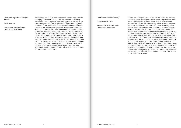Tríkínur eru sníkjuþráðormar af ættkvíslinni *Trichinella*. Þekktar eru átta tegundir (auk fjögurra mismunandi arfgerða) sem staðfestar hafa verið í öllum heimsálfum, að Suðurskautslandinu undanskildu. Tríkínur lifa í ýmsum tegundum hýsla (spendýrum, fuglum og skriðdýrum), smitleiðin er fyrst og fremst í gegnum inntöku á hráu, lirfusmituðu kjöti. Lífsferillinn er beinn (án millihýsla) og lifa fullorðnir, sérkynja ormar niðri í slímhimnu þarmanna. Eftir mökun verpa kvenormarnir lirfum sem rjúfa sér leið inn í blóðrás hýsilsins og dreifast með henni til allra vefja líkamans. Algengast er að finna lirfurnar í sístarfandi vöðvum svo sem í hjarta og þind. Árið 1998 hófu starfsmenn Tilraunastöðvarinnar að Keldum leit að tríkínum í sýnum úr hrossakjöti sem ætlað var til útflutnings. Árið 2012, í kjölfar nýrrar matvælalöggjafar, var tekið til við að leita tríkína í kjöti allra hrossa og svína sem slátrað er á Íslandi. Síðan þá hafa starfsmenn tilraunastöðvarinnar skoðað sýni úr tugþúsundum hrossa og hundruðum þúsunda svína. Tríkínur hafa aldrei fundist við þessar rannsóknir. Einu tríkínurnar sem fundist hafa á Íslandi eru úr hvítabjörnum sem villst hafa til landsins (*Trichinella nativa*).

#### **Um tríkínur (***Trichinella* **spp.)**

Guðný Rut Pálsdóttir

Tilraunastöð Háskóla Íslands í meinafræði að Keldum

Innflutningur hunda til Íslands var bannaður nema með sérstakri undanþágu á árunum 1909 til 1989. Þá var banninu aflétt og innflutningur hunda og katta leyfður að uppfylltum skilyrðum um dvöl í einangrunarstöð, heilbrigðisskoðun og ákveðnar lyfjameðhöndlanir. Þá eru gerðar kröfur um lyfjameðhöndlun gegn bandormum og ytri sníkjudýrum fyrir komu dýranna til landsins. Frá 1989 fram til ársloka 2017 voru 3822 hundar og 900 kettir fluttir til landsins. Dýrin hafa komið frá 67 löndum í öllum heimsálfum. Leit að innsníklum leiddi í ljós eina eða fleiri tegundir sníkjudýra í 10,6% hunda og 4,2% katta, óværa hefur fundist við komuna til landsins á 0,2% hunda og 0,2% katta. Alls hafa 18 tegundir innri sníkjudýra og sex tegundir óværu fundist í eða á innfluttum gæludýrum. Talið er að sex þeirra (þráðormur og fimm óværutegundir) hafi borist yfir í innlenda hunda eða ketti með gæludýrum sem enn voru smituð þegar einangrunarvist lauk. Tvær eða þrjár tegundanna virðast hafa náð fótfestu á Íslandi en talið er að tekist hafi að útrýma þremur þeirra.

**Um hunda- og kattasníkjudýr á Íslandi** 

Karl Skírnisson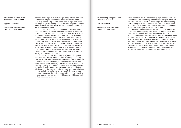Súnur (zoonosis) eru sjúkdómar eða sýkingavaldar (súnuvaldar) sem smitast á milli manna og dýra með náttúrulegum hætti. Heilbrigðisyfirvöld eru sérstaklega á verði gagnvart súnuvöldum og á Íslandi er í gildi sérstök reglugerð (nr. 1048/2011) sem hefur þann tilgang að sjá til þess að súnur og súnuvaldar og tengt þol þeirra gegn sýklalyfjum sé vaktað á réttan hátt.

*Salmonella* og *Campylobacter* eru bakteríur sem finnast víða í náttúrunni, í meltingarvegi dýra og manna og geta borist með saur. Þessar bakteríur geta valdið sjúkdómum bæði í dýrum og mönnum (súnuvaldar), bæði einstaklings- og hópsýkingum. Smitaðir einstaklingar geta líka í mörgum tilfellum verið frískir smitberar. *Salmonella* og *Campylobacter* eru einar algengustu ástæður matarsýkinga í Evrópu. Mikil áhersla hefur verið lögð á það hér á landi að bæta heilbrigði dýra og tryggja öryggi matvæla og hafa *Salmonella* og *Campylobacter* verið í aðalhlutverki í þeirri baráttu. Árangurinn hefur verið mjög góður og Íslendingar standa að mörgu leyti framar nágrannaþjóðunum hvað þetta varðar

#### **Salmonella og Campylobacter í dýrum og mönnum**

#### Vala Friðriksdóttir

Tilraunastöð Háskóla Íslands í meinafræði að Keldum

Íslenskur búpeningur er laus við marga smitsjúkdóma af völdum baktería sem herja á búfé erlendis. Þessu ræður aldalöng einangrun og strangar reglur hvað varðar innflutning á búfé, erfðaefni búfjár, búfjárafurðum og öðru er viðkemur búfjárhaldi. Sagan kennir okkur að frávik frá þessu getur haft alvarlegar afleiðingar. Hér verða nefnd tvö dæmi.

Árið 1933 voru fluttar inn 33 kindur frá Þýskalandi til kynbóta. Óþol réði því að sóttkví var stytt verulega frá því sem áætlað var í fyrstu og fénu dreift út um allt land. Með þessu fé bárust þrír alvarlegir smitsjúkdómar sem á næstu árum og áratugum lögðu sauðfjárbúskap á Íslandi nær alveg í rúst. Einn þessara sjúkdóma var garnaveiki af völdum bakteríunnar *Mycobacterium avium* subsp*. paratuberculosis*. Þrátt fyrir niðurskurð og fjárskipti tókst ekki að útrýma garnaveikinni. Með bólusetningu hefur þó tekist að koma að mestu í veg fyrir tjón af völdum sjúkdómsins. Það er hæpið að hægt sé að útrýma garnaveiki með bólusetningu. Engu að síður er mikilvægt að halda vel utan um framkvæmd bólusetningarinnar til þess að hefta útbreiðslu og koma í veg fyrir tjón sem hún getur valdið.

Árið 2010 kom upp áður óþekktur sjúkdómur í hrossum hér á landi, svo kallaður smitandi hósti. Sjúkdómurinn fór eins og eldur um sinu og dreifðist út um allt land. Rannsóknir leiddu í ljós að orsökin var sérstakur stofn af bakteriunni *Streptococcus equi*  subsp*. zooepidemicus*. Smitdreifing átti sér að öllum líkindum stað frá tiltekinni þjálfunarmiðstöð fyrir hross. Líkur benda til að smit hafi borist til landsins með notuðum reiðtygjum eða reiðfatnaði. Sjúkdómurinn olli umtalsverðu tjóni á meðan hann gekk yfir. Í dag er þessi sjúkdómur landlægur, kemur helst fyrir í yngri hrossum en veldur í fæstum tilvikum alvarlegum veikindum. Hann er okkur þó alvarleg áminning um nauðsyn stöðugrar varðstöðu gagnvart smitsjúkdómum erlendis frá.

**Nokkrir alvarlegir bakteríusjúkdómar í búfé á Íslandi**

Eggert Gunnarsson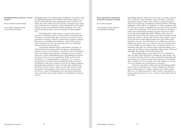#### **Áhrif sjúkdóma á nytjastofna ferskvatns og sjávar á Íslandi**

#### Árni Kristmundsson

Tilraunastöð Háskóla Íslands í meinafræði að Keldum

**Sýklalyfjaónæmar bakteríur í dýrum** Sýklalyfjaónæmi er ein stærsta ógn við lýðheilsu í heiminum í dag og Alþjóðaheilbrigðisstofnunin (WHO), Sameinuðu þjóðirnar og Evrópusambandið hafa hvatt aðildarþjóðir sínar til að efla rannsóknir sem nýta mætti til að stemma stigu við þessari ógn. Aukið ónæmi baktería fyrir sýklalyfjum veldur vandamálum við meðferð sýkinga og hefur þar af leiðandi slæmar afleiðingar fyrir heilsu manna og dýra og veldur auknum kostnaði við heilbrigðisþjónustu.

> Sýklalyfjanotkun í bæði mönnum og dýrum hefur áhrif á uppkomu og dreifingu ónæmra bakteríustofna. Sýklalyfjaónæmar bakteríur og ónæmisgen geta svo borist milli manna og dýra, með beinni snertingu, í gegnum umhverfið og í gegnum matvæli. Með auknum ferðalögum og viðskiptum með matvæli og dýraafurðir heimshorna á milli opnast einnig leiðir fyrir sýklalyfjaónæmar bakteríur til að dreifa sér.

> Tilraunastöð Háskóla Íslands í meinafræði, að Keldum, er innlend tilvísunarrannsóknarstofa fyrir Ísland í sýklalyfjanæmi baktería úr dýrum og matvælum. Á Keldum fara fram næmispróf á þeim súnuvöldum sem greinast í matvælum, dýrum og fóðri, í skimunum á vegum Matvælastofnunar. Matvælastofnun stendur einnig fyrir skimunum fyrir svokölluðum ESBL og/eða AmpC myndandi *E. coli* og bendibakteríu (indicator) *E. coli* í svínum og kjúklingum og í fersku svína- og kjúklinga- kjöti og fara þær rannskóknir einnig fram á Keldum. Almennt má segja að algengi sýklalyfjaónæmra baktería í dýrum sé frekar lágt á Íslandi miðað við önnur lönd í Evrópu. Í þessu erindi verður farið yfir helstu niðurstöður næmisprófana á þeim stofnum sem greinst hafa í skimunum á vegum Matvælastofnunar, auk þeirra vísindarannsókna sem hafa verið í gangi á Keldum á sýklalyfjanæmi baktería í dýrum.

Upphaflega eiga allir sýklar sem smita lagar- og landdýr uppruna sinn í náttúrunni. Þótt sjúkdómar eigi að einhverju marki þátt í náttúrlegum dauða í öllum villtum stofnum virðast áhrif þeirra almennt vera óveruleg og eiginlegir sjúkdómsfaraldrar tiltölulega sjaldgæfir. Í villtri náttúru eru lagardýr, s.s. fiskar og skeldýr, jafnan í sínu kjörumhverfi, streituþættir fáir og samlífi hýsils og sýkils í nokkurs konar jafnvægi. Ýmsir lífrænir og ólífrænir umhverfisþættir geta raskað þessu jafnvægi og getur slík röskun valdið því að upp koma sjúkdómsfaraldrar. Aðfluttir sýklar, sem eru innlendum hýslum framandi, geta einnig valdið verulegum skaða. Segja má að fiskar í eldi séu ekki við sínar kjöraðstæður. Þar eru fyrir hendi ýmsir streituvaldandi þættir sem geta valdið ónæmisbælingu sem gerir þá móttækilegri fyrir sjúkdómum. Einnig er þéttleiki þar jafnan meiri, sem veldur því að smit milli fiska verður mun greiðara og smitmögnun meiri. Af þessum sökum eru eldisfiskar bólusettir fyrir mörgum helstu sjúkdómsvöldum sem herja á þá og með því móti eru sjúkdómar lágmarkaðir. Slíkt er að sjálfsögðu ekki gerlegt í tilfelli villtra fiskistofna. Nýrnaveikibakterían er gott dæmi um mun á aðstæðum

eldis- og villtra fiska. Bakterían er landlæg og mjög algeng í villtum stofnum laxfiska. Þrátt fyrir það virðast þessar sýkingar ekki standa þeim fyrir þrifum og engin þekkt dæmi um nýrnaveikifaraldra. Í fiskeldi er hún hins vegar hinn mesti vágestur en hvorki eru til virk bóluefni né lyf gegn þessum sýkingum..

Þrátt fyrir að faraldrar í náttúrunni séu hlutfallslega fátíðir, þá koma þeir þó reglulega upp. Í sumum tilfellum eru ástæður þeirra nokkuð ljósar, en í mörgum tilfellum ekki. Nokkur þekkt dæmi eru um sjúkdómsfaraldra í villtum fiskum og skelfiskum á Íslandi, bæði í ferskvatni og í sjó. Í erindinu verður gefið yfirlit yfir þau tilfelli.

### **á Íslandi**

Þórunn Rafnar Þorsteinsdóttir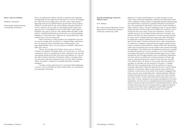#### **Equine parasitology research: What's new?**

#### M.K. Nielsen

M.H. Gluck Equine Research Center, Department of Veterinary Science, University of Kentucky, USA

Veirur eru fjölbreyttur flokkur örsmárra smitefna sem eiga það sameiginlegt að vera háðar því að komast inn í frumur til að fjölga sér. Utan frumunnar fjölga veirur sér ekki. Veirur hafa væntanlega fylgt lífverum frá upphafi lífsins og haft áhrif á þróun þeirra. Líklegt er að allar lífverur séu veirusmitaðar eða geti smitast af veirum. Uppruni veira er óljós en sennilegast þykir að þær eigi uppruna sinn í frumulíffærum sem fruman hefur misst stjórn á. Erfðaefni veira getur verið ein- eða tvíþátta RNA eða DNA. Erfðaefnið er umlukið próteinhylki og sumar veirur eru einnig klæddar lípiðkápu úr frumuhimnunni. Í kápunni eru veiruprótein sem ráða hvaða frumur veirurnar geta sýkt.

Utan frumunnar er mjög misjafnt hve harðgerðar veirurnar eru og hve vel þær þola ytra áreiti s.s. hitabreytingar, sótthreinsiefni - án þess að missa smithæfni sína. Mismunandi er hve tegundasérhæfðar veirur eru og einnig eru smitleiðir mjög breytilegar eftir veirum.

Talið er að einungis brot af þeim veirum sem er að finna í lífríkinu séu þekktar. Vitneskja okkar um hvaða veirur er að finna í íslenskum dýrum er brotakennd en þær rannsóknir sem þó hafa verið gerðar benda til að stór hluti veira sem þekktar eru í dýrum séu ekki til staðar hérlendis. Af íslensku búfé er vitneskja okkar um veirusmit hvað best varðandi hross. Því hafa ráðið umfangsmiklar rannsóknir í tengslum við sjúkdómsfaraldra á síðustu áratugum.

Í erindinu verður gerð grein fyrir núverandi stöðu þekkingar á veirum í dýrum á Íslandi og nokkur dæmi tekin um rannsóknir á veirusýkingum hérlendis.

Research in equine parasitology is currently focused on two major areas: Improved diagnostic methods and alternative treatment modalities. Other projects investigate parasite epidemiology and inflammatory reactions to parasite infections and deworming. This presentation will briefly outline some recent findings in these research areas. The go-to diagnostic test for equine parasitology has been the fecal egg count. While this method is more important than ever today, it also has limitations. Counts are variable, they do not correlate directly with worm burdens, and they do not allow for direct detection of certain parasite species. In recent years, antibody-detection tests have been developed for diagnosis of equine tapeworms and bloodworms and have been found useful. Another antibody test is under development for detection of disease causing small strongyle parasite larvae. Large roundworms (ascarids) are readily visible with ultrasonography and a technique and scoring system was recently decribed and validated. This method can be applied to foals and is capable of detecting presence of worms present in the small intestine. A technology allowing for automated parasite egg counts in fecal samples by use of image analysis and a smartphone application has been shown to effectively increase precision of these egg counts, while generating the results in less than five minutes. This method does not require a microscope and the system is portable, so samples can be analyzed in the barn, if needed. With the ever-increasing levels of drug resistance in equine parasites, alternative treatment approaches are in need of being explored. Combination deworming products have reached the markets in some parts of the world, and research suggests that these may be more sustainable than rotating between different products through the year. However, recent work with combination deworming in horses illustrated that the approach may not work well, if some resistance has already developed to the active ingredients. Current work is investigating the anti-parasitic properties of certain proteins secreted by soil-dwelling bacteria. Some of these have been found to possess potency against intestinal parasites and a pilot study suggested a good effect against equine ascarids and more work will explore this further.

#### **Veirur í dýrum á Íslandi**

#### Vilhjálmur Svansson